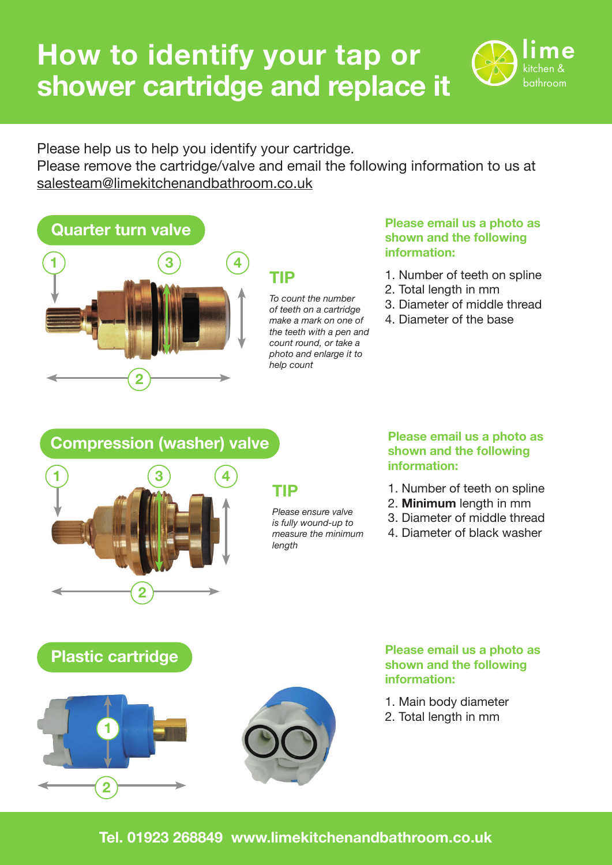# **How to identify your tap or shower cartridge and replace it**



Please help us to help you identify your cartridge. Please remove the cartridge/valve and email the following information to us at salesteam@limekitchenandbathroom.co.uk

# **Quarter turn valve**



## **TIP**

*To count the number of teeth on a cartridge make a mark on one of the teeth with a pen and count round, or take a photo and enlarge it to help count*

#### **Please email us a photo as shown and the following information:**

- 1. Number of teeth on spline
- 2. Total length in mm
- 3. Diameter of middle thread
- 4. Diameter of the base

### **Compression (washer) valve**



## **TIP**

*Please ensure valve is fully wound-up to measure the minimum length*

#### **Please email us a photo as shown and the following information:**

- 1. Number of teeth on spline
- 2. **Minimum** length in mm
- 3. Diameter of middle thread
- 4. Diameter of black washer

## **Plastic cartridge**





#### **Please email us a photo as shown and the following information:**

- 1. Main body diameter
- 2. Total length in mm

### **Tel. 01923 268849 www.limekitchenandbathroom.co.uk**